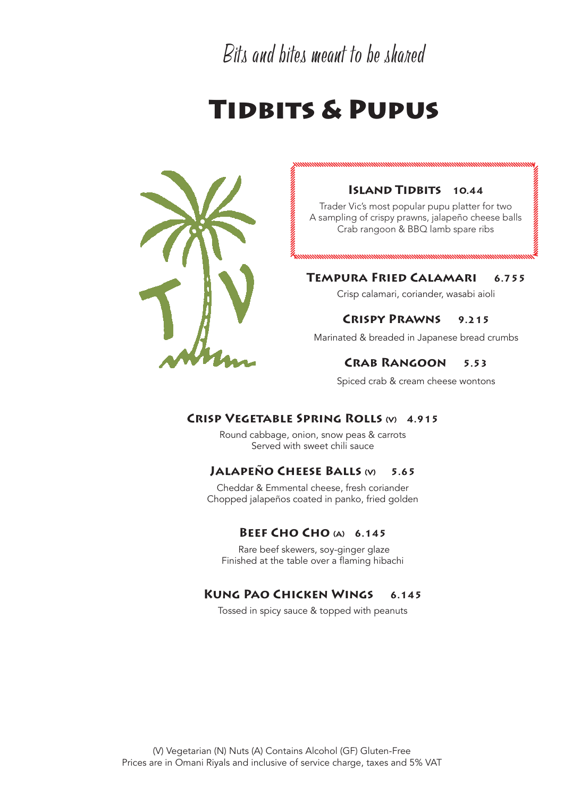Bits and bites meant to be shared

# Tidbits & Pupus



### **ISLAND TIDBITS 10.44**

Trader Vic's most popular pupu platter for two A sampling of crispy prawns, jalapeño cheese balls Crab rangoon & BBQ lamb spare ribs

#### **Tempura Fried Calamari 6.755**

Crisp calamari, coriander, wasabi aioli

#### **Crispy Prawns 9.215**

Marinated & breaded in Japanese bread crumbs

#### **Crab Rangoon 5.53**

Spiced crab & cream cheese wontons

#### **Crisp Vegetable Spring Rolls (V) 4.915**

Round cabbage, onion, snow peas & carrots Served with sweet chili sauce

### **Jalapeño Cheese Balls (V) 5.65**

Cheddar & Emmental cheese, fresh coriander Chopped jalapeños coated in panko, fried golden

#### **BEEF CHO CHO (A) 6.145**

 Rare beef skewers, soy-ginger glaze Finished at the table over a flaming hibachi

### **Kung Pao Chicken Wings 6.145**

Tossed in spicy sauce & topped with peanuts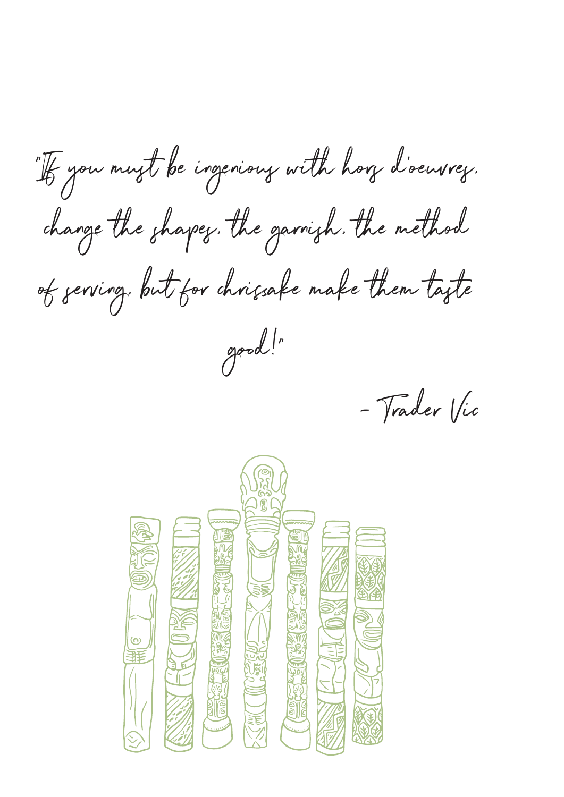"It you must be ingenious with hors d'oeuvres. change the shapes, the garnish, the method of serving, but for chrissake make them taste good!"

- Trader Vic

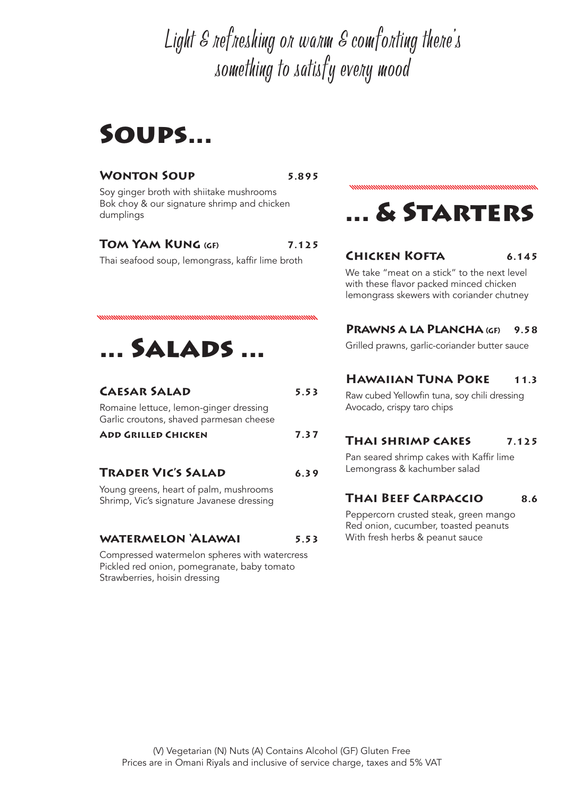Light & refreshing or warm & comforting there's something to satisfy eveny mood

# Soups...

#### **Wonton Soup 5.895**

Soy ginger broth with shiitake mushrooms Bok choy & our signature shrimp and chicken dumplings

### **TOM YAM KUNG (GF)** 7.125

Thai seafood soup, lemongrass, kaffir lime broth



### **Caesar Salad 5.53**

Romaine lettuce, lemon-ginger dressing Garlic croutons, shaved parmesan cheese

**Add Grilled Chicken 7.37**

### **Trader Vic's Salad 6.39**

Young greens, heart of palm, mushrooms Shrimp, Vic's signature Javanese dressing

#### **watermelon 'Alawai 5.53**

Compressed watermelon spheres with watercress Pickled red onion, pomegranate, baby tomato Strawberries, hoisin dressing

# ... & Starters

# **Chicken Kofta 6.145**

We take "meat on a stick" to the next level with these flavor packed minced chicken lemongrass skewers with coriander chutney

### **PRAWNS A LA PLANCHA (GF) 9.58**

Grilled prawns, garlic-coriander butter sauce

### **Hawaiian Tuna Poke 11.3**

Raw cubed Yellowfin tuna, soy chili dressing Avocado, crispy taro chips

# **Thai shrimp cakes 7.125**

Pan seared shrimp cakes with Kaffir lime Lemongrass & kachumber salad

### **Thai Beef Carpaccio 8.6**

Peppercorn crusted steak, green mango Red onion, cucumber, toasted peanuts With fresh herbs & peanut sauce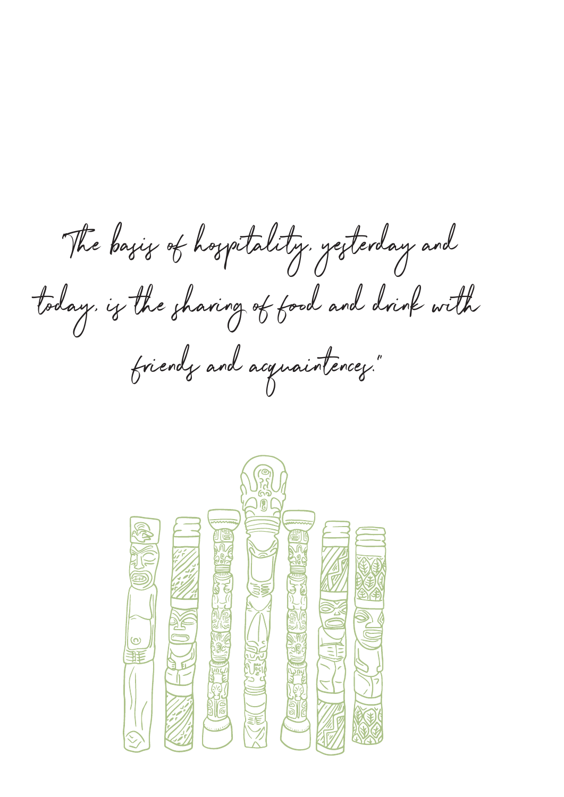The bayig of hoggitality, yesterday and today, is the sharing of food and drink with friendy and acquaintencey."

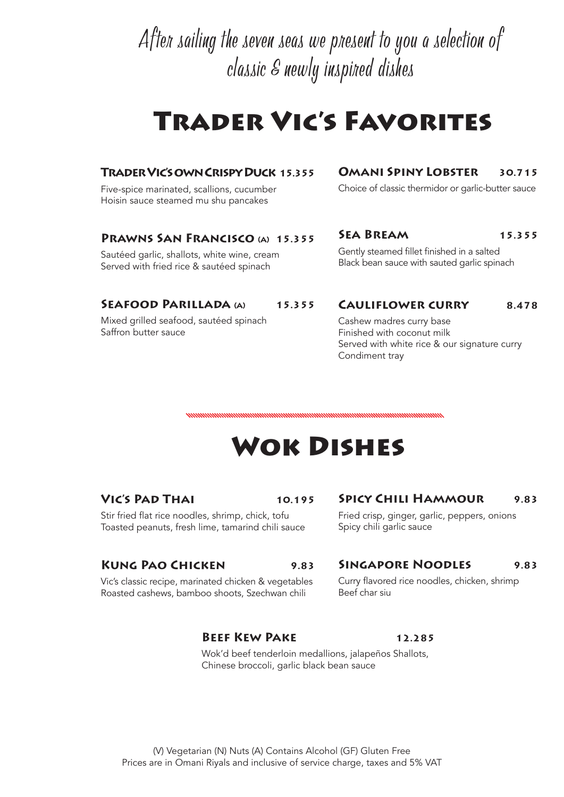# After sailing the seven seas we present to you a selection of classic & newly inspired dishes

# Trader Vic's Favorites

### **Trader Vic's own Crispy Duck 15.355**

Five-spice marinated, scallions, cucumber Hoisin sauce steamed mu shu pancakes

### **OMANI SPINY LOBSTER** 30.715

Choice of classic thermidor or garlic-butter sauce

### **Prawns San Francisco (A) 15.355**

Sautéed garlic, shallots, white wine, cream Served with fried rice & sautéed spinach

### **SEAFOOD PARILLADA (A)** 15.355

Mixed grilled seafood, sautéed spinach Saffron butter sauce

### **SEA BREAM** 15.355

Gently steamed fillet finished in a salted Black bean sauce with sauted garlic spinach

### **Cauliflower curry 8.478**

Cashew madres curry base Finished with coconut milk Served with white rice & our signature curry Condiment tray

<u>mamamaman</u>

# Wok Dishes

# **Vic's Pad Thai 10.195**

Stir fried flat rice noodles, shrimp, chick, tofu Toasted peanuts, fresh lime, tamarind chili sauce

### **Kung Pao Chicken 9.83**

Vic's classic recipe, marinated chicken & vegetables Roasted cashews, bamboo shoots, Szechwan chili

# **Spicy Chili Hammour 9.83**

Fried crisp, ginger, garlic, peppers, onions Spicy chili garlic sauce

# **Singapore Noodles 9.83**

Curry flavored rice noodles, chicken, shrimp Beef char siu

### **BEEF KEW PAKE** 12.285

Wok'd beef tenderloin medallions, jalapeños Shallots, Chinese broccoli, garlic black bean sauce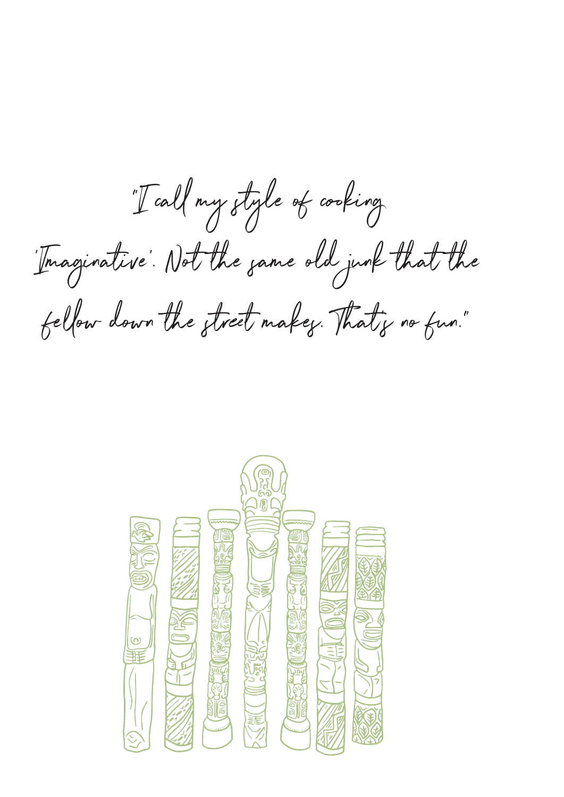"I call my style of cooking 'Imaginative'. Not the same old junk that the fellow down the street makes. That's no fun."